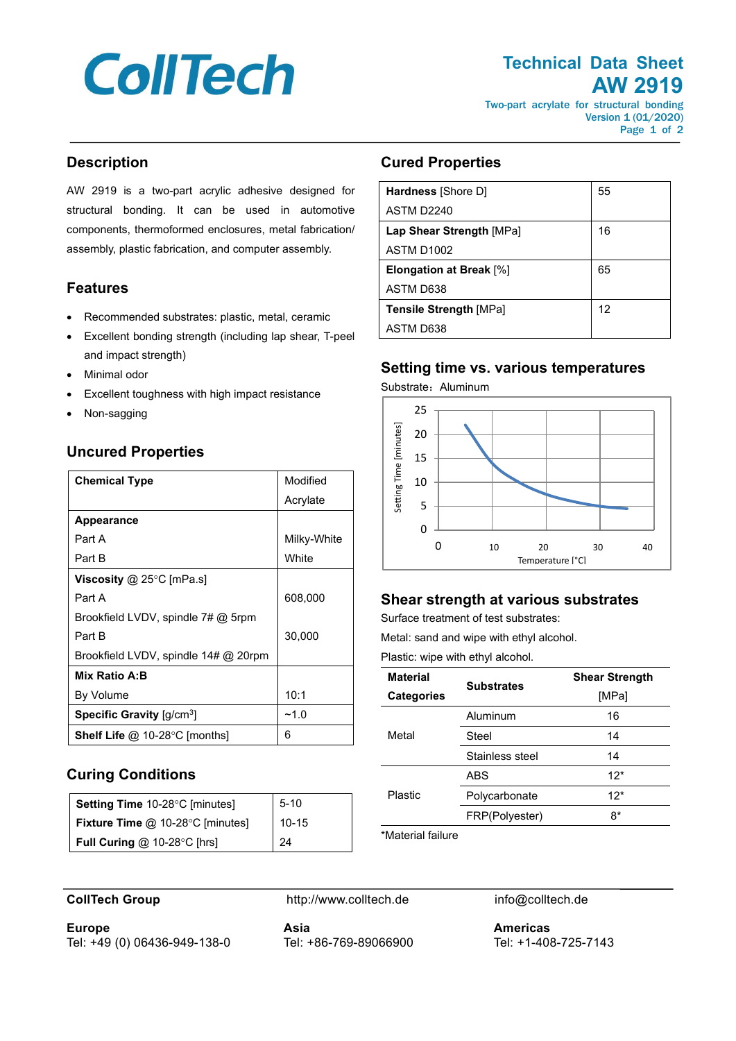# **CollTech**

# **Technical Data Sheet AW 2919**

Two-part acrylate for structural bonding Version 1 (01/2020) Page 1 of 2

### **Description**

AW 2919 is a two-part acrylic adhesive designed for structural bonding. It can be used in automotive components, thermoformed enclosures, metal fabrication/ assembly, plastic fabrication, and computer assembly.

#### **Features**

- Recommended substrates: plastic, metal, ceramic
- Excellent bonding strength (including lap shear, T-peel and impact strength)
- Minimal odor
- Excellent toughness with high impact resistance
- Non-sagging

# **Uncured Properties**

| <b>Chemical Type</b>                                  | Modified    |
|-------------------------------------------------------|-------------|
|                                                       | Acrylate    |
| <b>Appearance</b>                                     |             |
| Part A                                                | Milky-White |
| Part B                                                | White       |
| Viscosity @ 25°C [mPa.s]                              |             |
| Part A                                                | 608,000     |
| Brookfield LVDV, spindle $7\#$ @ 5rpm                 |             |
| Part B                                                | 30,000      |
| Brookfield LVDV, spindle 14# @ 20rpm                  |             |
| Mix Ratio A:B                                         |             |
| By Volume                                             | 10:1        |
| <b>Specific Gravity</b> $\left[\frac{q}{cm^3}\right]$ | $-1.0$      |
| <b>Shelf Life @ 10-28 °C [months]</b>                 | 6           |

## **Curing Conditions**

| Setting Time 10-28°C [minutes]   | $5 - 10$ |
|----------------------------------|----------|
| Fixture Time @ 10-28°C [minutes] | $10-15$  |
| Full Curing $@$ 10-28 $°C$ [hrs] | - 24     |

## **Cured Properties**

| <b>Hardness</b> [Shore D]      | 55 |
|--------------------------------|----|
| ASTM D2240                     |    |
| Lap Shear Strength [MPa]       | 16 |
| ASTM D <sub>1002</sub>         |    |
| <b>Elongation at Break [%]</b> | 65 |
| ASTM D638                      |    |
| <b>Tensile Strength [MPa]</b>  | 12 |
| ASTM D638                      |    |

#### **Setting time vs. various temperatures**

Substrate: Aluminum



# **Shear strength at various substrates**

Surface treatment of test substrates:

Metal: sand and wipe with ethyl alcohol.

Plastic: wipe with ethyl alcohol.

| <b>Material</b>   | <b>Substrates</b> | <b>Shear Strength</b> |
|-------------------|-------------------|-----------------------|
| <b>Categories</b> |                   | [MPa]                 |
| Metal             | Aluminum          | 16                    |
|                   | Steel             | 14                    |
|                   | Stainless steel   | 14                    |
| Plastic           | ABS               | $12*$                 |
|                   | Polycarbonate     | $12*$                 |
|                   | FRP(Polyester)    | 8*                    |

\*Material failure

**Europe** Tel: +49 (0) 06436-949-138-0

**CollTech Group** http://www.colltech.de info@colltech.de

**Asia** Tel: +86-769-89066900 **Americas** Tel: +1-408-725-7143